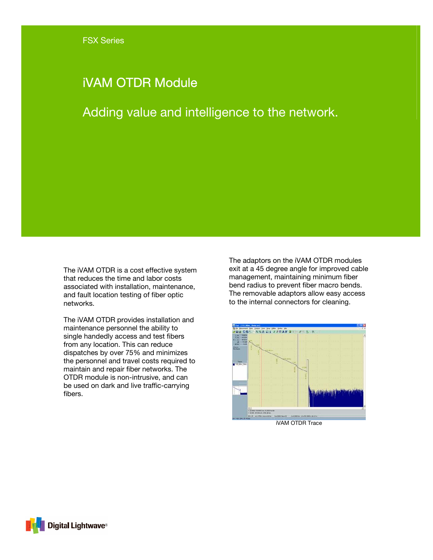# iVAM OTDR Module

Adding value and intelligence to the network.

The iVAM OTDR is a cost effective system that reduces the time and labor costs associated with installation, maintenance, and fault location testing of fiber optic networks.

The iVAM OTDR provides installation and maintenance personnel the ability to single handedly access and test fibers from any location. This can reduce dispatches by over 75% and minimizes the personnel and travel costs required to maintain and repair fiber networks. The OTDR module is non-intrusive, and can be used on dark and live traffic-carrying fibers.

The adaptors on the iVAM OTDR modules exit at a 45 degree angle for improved cable management, maintaining minimum fiber bend radius to prevent fiber macro bends. The removable adaptors allow easy access to the internal connectors for cleaning.



iVAM OTDR Trace